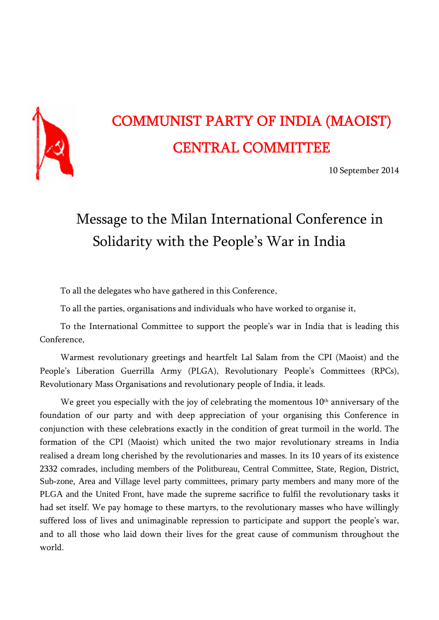

# COMMUNIST PARTY OF INDIA (MAOIST) CENTRAL COMMITTEE

10 September 2014

## Message to the Milan International Conference in Solidarity with the People's War in India

To all the delegates who have gathered in this Conference,

To all the parties, organisations and individuals who have worked to organise it,

To the International Committee to support the people's war in India that is leading this Conference,

Warmest revolutionary greetings and heartfelt Lal Salam from the CPI (Maoist) and the People's Liberation Guerrilla Army (PLGA), Revolutionary People's Committees (RPCs), Revolutionary Mass Organisations and revolutionary people of India, it leads.

We greet you especially with the joy of celebrating the momentous  $10<sup>th</sup>$  anniversary of the foundation of our party and with deep appreciation of your organising this Conference in conjunction with these celebrations exactly in the condition of great turmoil in the world. The formation of the CPI (Maoist) which united the two major revolutionary streams in India realised a dream long cherished by the revolutionaries and masses. In its 10 years of its existence 2332 comrades, including members of the Politbureau, Central Committee, State, Region, District, Sub-zone, Area and Village level party committees, primary party members and many more of the PLGA and the United Front, have made the supreme sacrifice to fulfil the revolutionary tasks it had set itself. We pay homage to these martyrs, to the revolutionary masses who have willingly suffered loss of lives and unimaginable repression to participate and support the people's war, and to all those who laid down their lives for the great cause of communism throughout the world.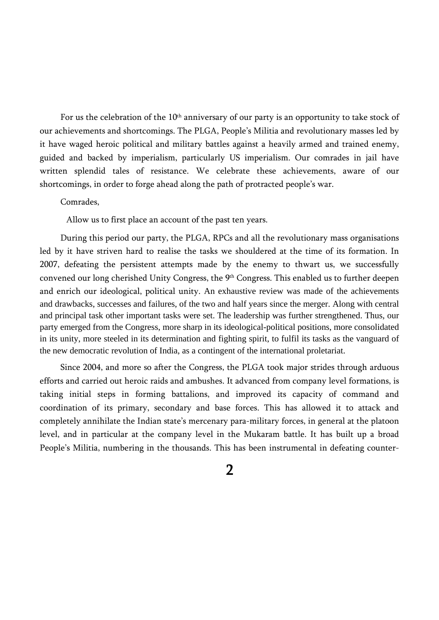For us the celebration of the 10<sup>th</sup> anniversary of our party is an opportunity to take stock of our achievements and shortcomings. The PLGA, People's Militia and revolutionary masses led by it have waged heroic political and military battles against a heavily armed and trained enemy, guided and backed by imperialism, particularly US imperialism. Our comrades in jail have written splendid tales of resistance. We celebrate these achievements, aware of our shortcomings, in order to forge ahead along the path of protracted people's war.

#### Comrades,

Allow us to first place an account of the past ten years.

During this period our party, the PLGA, RPCs and all the revolutionary mass organisations led by it have striven hard to realise the tasks we shouldered at the time of its formation. In 2007, defeating the persistent attempts made by the enemy to thwart us, we successfully convened our long cherished Unity Congress, the 9th Congress. This enabled us to further deepen and enrich our ideological, political unity. An exhaustive review was made of the achievements and drawbacks, successes and failures, of the two and half years since the merger. Along with central and principal task other important tasks were set. The leadership was further strengthened. Thus, our party emerged from the Congress, more sharp in its ideological-political positions, more consolidated in its unity, more steeled in its determination and fighting spirit, to fulfil its tasks as the vanguard of the new democratic revolution of India, as a contingent of the international proletariat.

Since 2004, and more so after the Congress, the PLGA took major strides through arduous efforts and carried out heroic raids and ambushes. It advanced from company level formations, is taking initial steps in forming battalions, and improved its capacity of command and coordination of its primary, secondary and base forces. This has allowed it to attack and completely annihilate the Indian state's mercenary para-military forces, in general at the platoon level, and in particular at the company level in the Mukaram battle. It has built up a broad People's Militia, numbering in the thousands. This has been instrumental in defeating counter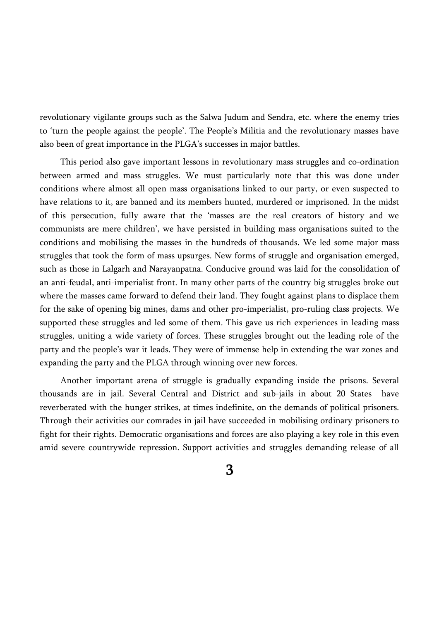revolutionary vigilante groups such as the Salwa Judum and Sendra, etc. where the enemy tries to 'turn the people against the people'. The People's Militia and the revolutionary masses have also been of great importance in the PLGA's successes in major battles.

This period also gave important lessons in revolutionary mass struggles and co-ordination between armed and mass struggles. We must particularly note that this was done under conditions where almost all open mass organisations linked to our party, or even suspected to have relations to it, are banned and its members hunted, murdered or imprisoned. In the midst of this persecution, fully aware that the 'masses are the real creators of history and we communists are mere children', we have persisted in building mass organisations suited to the conditions and mobilising the masses in the hundreds of thousands. We led some major mass struggles that took the form of mass upsurges. New forms of struggle and organisation emerged, such as those in Lalgarh and Narayanpatna. Conducive ground was laid for the consolidation of an anti-feudal, anti-imperialist front. In many other parts of the country big struggles broke out where the masses came forward to defend their land. They fought against plans to displace them for the sake of opening big mines, dams and other pro-imperialist, pro-ruling class projects. We supported these struggles and led some of them. This gave us rich experiences in leading mass struggles, uniting a wide variety of forces. These struggles brought out the leading role of the party and the people's war it leads. They were of immense help in extending the war zones and expanding the party and the PLGA through winning over new forces.

Another important arena of struggle is gradually expanding inside the prisons. Several thousands are in jail. Several Central and District and sub-jails in about 20 States have reverberated with the hunger strikes, at times indefinite, on the demands of political prisoners. Through their activities our comrades in jail have succeeded in mobilising ordinary prisoners to fight for their rights. Democratic organisations and forces are also playing a key role in this even amid severe countrywide repression. Support activities and struggles demanding release of all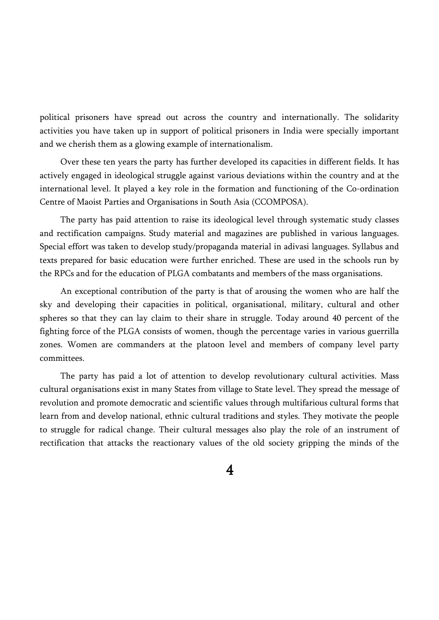political prisoners have spread out across the country and internationally. The solidarity activities you have taken up in support of political prisoners in India were specially important and we cherish them as a glowing example of internationalism.

Over these ten years the party has further developed its capacities in different fields. It has actively engaged in ideological struggle against various deviations within the country and at the international level. It played a key role in the formation and functioning of the Co-ordination Centre of Maoist Parties and Organisations in South Asia (CCOMPOSA).

The party has paid attention to raise its ideological level through systematic study classes and rectification campaigns. Study material and magazines are published in various languages. Special effort was taken to develop study/propaganda material in adivasi languages. Syllabus and texts prepared for basic education were further enriched. These are used in the schools run by the RPCs and for the education of PLGA combatants and members of the mass organisations.

An exceptional contribution of the party is that of arousing the women who are half the sky and developing their capacities in political, organisational, military, cultural and other spheres so that they can lay claim to their share in struggle. Today around 40 percent of the fighting force of the PLGA consists of women, though the percentage varies in various guerrilla zones. Women are commanders at the platoon level and members of company level party committees.

The party has paid a lot of attention to develop revolutionary cultural activities. Mass cultural organisations exist in many States from village to State level. They spread the message of revolution and promote democratic and scientific values through multifarious cultural forms that learn from and develop national, ethnic cultural traditions and styles. They motivate the people to struggle for radical change. Their cultural messages also play the role of an instrument of rectification that attacks the reactionary values of the old society gripping the minds of the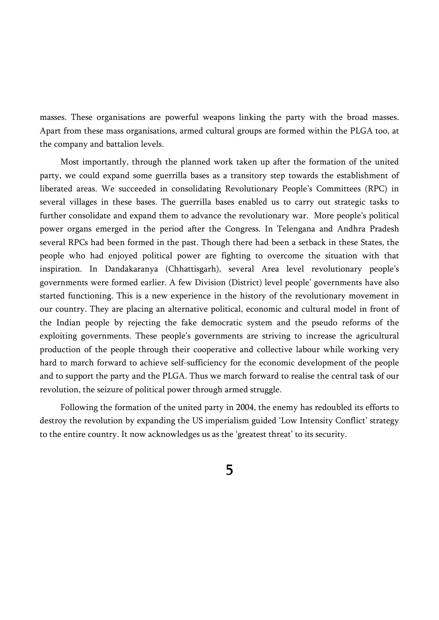masses. These organisations are powerful weapons linking the party with the broad masses. Apart from these mass organisations, armed cultural groups are formed within the PLGA too, at the company and battalion levels.

Most importantly, through the planned work taken up after the formation of the united party, we could expand some guerrilla bases as a transitory step towards the establishment of liberated areas. We succeeded in consolidating Revolutionary People's Committees (RPC) in several villages in these bases. The guerrilla bases enabled us to carry out strategic tasks to further consolidate and expand them to advance the revolutionary war. More people's political power organs emerged in the period after the Congress. In Telengana and Andhra Pradesh several RPCs had been formed in the past. Though there had been a setback in these States, the people who had enjoyed political power are fighting to overcome the situation with that inspiration. In Dandakaranya (Chhattisgarh), several Area level revolutionary people's governments were formed earlier. A few Division (District) level people' governments have also started functioning. This is a new experience in the history of the revolutionary movement in our country. They are placing an alternative political, economic and cultural model in front of the Indian people by rejecting the fake democratic system and the pseudo reforms of the exploiting governments. These people's governments are striving to increase the agricultural production of the people through their cooperative and collective labour while working very hard to march forward to achieve self-sufficiency for the economic development of the people and to support the party and the PLGA. Thus we march forward to realise the central task of our revolution, the seizure of political power through armed struggle.

Following the formation of the united party in 2004, the enemy has redoubled its efforts to destroy the revolution by expanding the US imperialism guided 'Low Intensity Conflict' strategy to the entire country. It now acknowledges us as the 'greatest threat' to its security.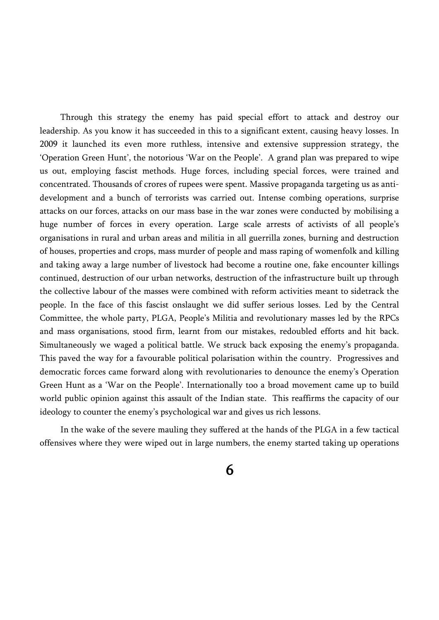Through this strategy the enemy has paid special effort to attack and destroy our leadership. As you know it has succeeded in this to a significant extent, causing heavy losses. In 2009 it launched its even more ruthless, intensive and extensive suppression strategy, the 'Operation Green Hunt', the notorious 'War on the People'. A grand plan was prepared to wipe us out, employing fascist methods. Huge forces, including special forces, were trained and concentrated. Thousands of crores of rupees were spent. Massive propaganda targeting us as antidevelopment and a bunch of terrorists was carried out. Intense combing operations, surprise attacks on our forces, attacks on our mass base in the war zones were conducted by mobilising a huge number of forces in every operation. Large scale arrests of activists of all people's organisations in rural and urban areas and militia in all guerrilla zones, burning and destruction of houses, properties and crops, mass murder of people and mass raping of womenfolk and killing and taking away a large number of livestock had become a routine one, fake encounter killings continued, destruction of our urban networks, destruction of the infrastructure built up through the collective labour of the masses were combined with reform activities meant to sidetrack the people. In the face of this fascist onslaught we did suffer serious losses. Led by the Central Committee, the whole party, PLGA, People's Militia and revolutionary masses led by the RPCs and mass organisations, stood firm, learnt from our mistakes, redoubled efforts and hit back. Simultaneously we waged a political battle. We struck back exposing the enemy's propaganda. This paved the way for a favourable political polarisation within the country. Progressives and democratic forces came forward along with revolutionaries to denounce the enemy's Operation Green Hunt as a 'War on the People'. Internationally too a broad movement came up to build world public opinion against this assault of the Indian state. This reaffirms the capacity of our ideology to counter the enemy's psychological war and gives us rich lessons.

In the wake of the severe mauling they suffered at the hands of the PLGA in a few tactical offensives where they were wiped out in large numbers, the enemy started taking up operations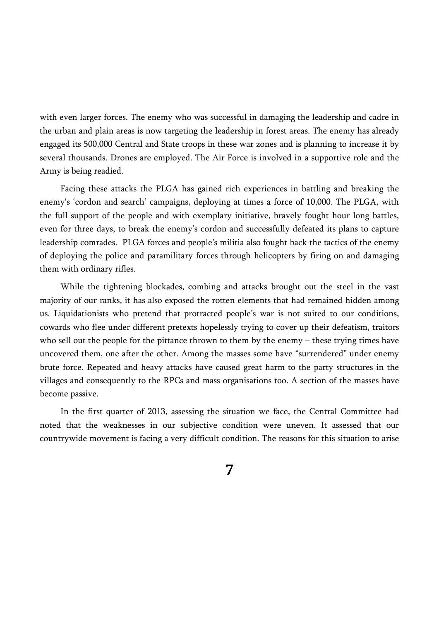with even larger forces. The enemy who was successful in damaging the leadership and cadre in the urban and plain areas is now targeting the leadership in forest areas. The enemy has already engaged its 500,000 Central and State troops in these war zones and is planning to increase it by several thousands. Drones are employed. The Air Force is involved in a supportive role and the Army is being readied.

Facing these attacks the PLGA has gained rich experiences in battling and breaking the enemy's 'cordon and search' campaigns, deploying at times a force of 10,000. The PLGA, with the full support of the people and with exemplary initiative, bravely fought hour long battles, even for three days, to break the enemy's cordon and successfully defeated its plans to capture leadership comrades. PLGA forces and people's militia also fought back the tactics of the enemy of deploying the police and paramilitary forces through helicopters by firing on and damaging them with ordinary rifles.

While the tightening blockades, combing and attacks brought out the steel in the vast majority of our ranks, it has also exposed the rotten elements that had remained hidden among us. Liquidationists who pretend that protracted people's war is not suited to our conditions, cowards who flee under different pretexts hopelessly trying to cover up their defeatism, traitors who sell out the people for the pittance thrown to them by the enemy – these trying times have uncovered them, one after the other. Among the masses some have "surrendered" under enemy brute force. Repeated and heavy attacks have caused great harm to the party structures in the villages and consequently to the RPCs and mass organisations too. A section of the masses have become passive.

In the first quarter of 2013, assessing the situation we face, the Central Committee had noted that the weaknesses in our subjective condition were uneven. It assessed that our countrywide movement is facing a very difficult condition. The reasons for this situation to arise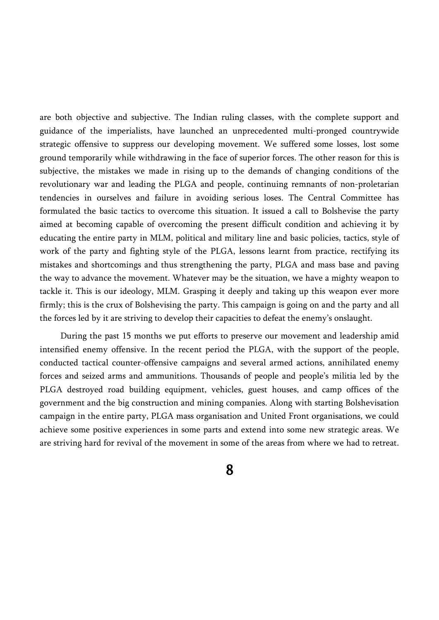are both objective and subjective. The Indian ruling classes, with the complete support and guidance of the imperialists, have launched an unprecedented multi-pronged countrywide strategic offensive to suppress our developing movement. We suffered some losses, lost some ground temporarily while withdrawing in the face of superior forces. The other reason for this is subjective, the mistakes we made in rising up to the demands of changing conditions of the revolutionary war and leading the PLGA and people, continuing remnants of non-proletarian tendencies in ourselves and failure in avoiding serious loses. The Central Committee has formulated the basic tactics to overcome this situation. It issued a call to Bolshevise the party aimed at becoming capable of overcoming the present difficult condition and achieving it by educating the entire party in MLM, political and military line and basic policies, tactics, style of work of the party and fighting style of the PLGA, lessons learnt from practice, rectifying its mistakes and shortcomings and thus strengthening the party, PLGA and mass base and paving the way to advance the movement. Whatever may be the situation, we have a mighty weapon to tackle it. This is our ideology, MLM. Grasping it deeply and taking up this weapon ever more firmly; this is the crux of Bolshevising the party. This campaign is going on and the party and all the forces led by it are striving to develop their capacities to defeat the enemy's onslaught.

During the past 15 months we put efforts to preserve our movement and leadership amid intensified enemy offensive. In the recent period the PLGA, with the support of the people, conducted tactical counter-offensive campaigns and several armed actions, annihilated enemy forces and seized arms and ammunitions. Thousands of people and people's militia led by the PLGA destroyed road building equipment, vehicles, guest houses, and camp offices of the government and the big construction and mining companies. Along with starting Bolshevisation campaign in the entire party, PLGA mass organisation and United Front organisations, we could achieve some positive experiences in some parts and extend into some new strategic areas. We are striving hard for revival of the movement in some of the areas from where we had to retreat.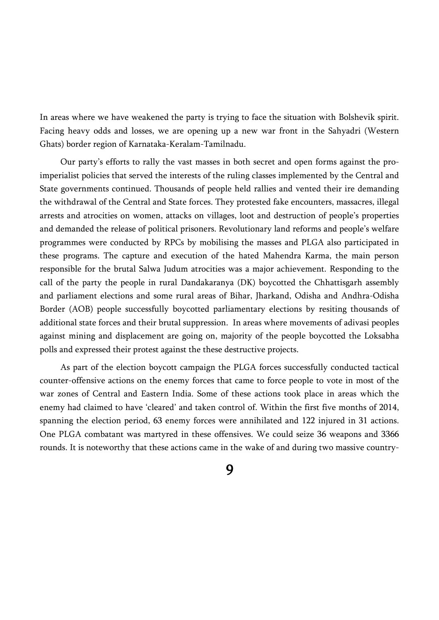In areas where we have weakened the party is trying to face the situation with Bolshevik spirit. Facing heavy odds and losses, we are opening up a new war front in the Sahyadri (Western Ghats) border region of Karnataka-Keralam-Tamilnadu.

Our party's efforts to rally the vast masses in both secret and open forms against the proimperialist policies that served the interests of the ruling classes implemented by the Central and State governments continued. Thousands of people held rallies and vented their ire demanding the withdrawal of the Central and State forces. They protested fake encounters, massacres, illegal arrests and atrocities on women, attacks on villages, loot and destruction of people's properties and demanded the release of political prisoners. Revolutionary land reforms and people's welfare programmes were conducted by RPCs by mobilising the masses and PLGA also participated in these programs. The capture and execution of the hated Mahendra Karma, the main person responsible for the brutal Salwa Judum atrocities was a major achievement. Responding to the call of the party the people in rural Dandakaranya (DK) boycotted the Chhattisgarh assembly and parliament elections and some rural areas of Bihar, Jharkand, Odisha and Andhra-Odisha Border (AOB) people successfully boycotted parliamentary elections by resiting thousands of additional state forces and their brutal suppression. In areas where movements of adivasi peoples against mining and displacement are going on, majority of the people boycotted the Loksabha polls and expressed their protest against the these destructive projects.

As part of the election boycott campaign the PLGA forces successfully conducted tactical counter-offensive actions on the enemy forces that came to force people to vote in most of the war zones of Central and Eastern India. Some of these actions took place in areas which the enemy had claimed to have 'cleared' and taken control of. Within the first five months of 2014, spanning the election period, 63 enemy forces were annihilated and 122 injured in 31 actions. One PLGA combatant was martyred in these offensives. We could seize 36 weapons and 3366 rounds. It is noteworthy that these actions came in the wake of and during two massive country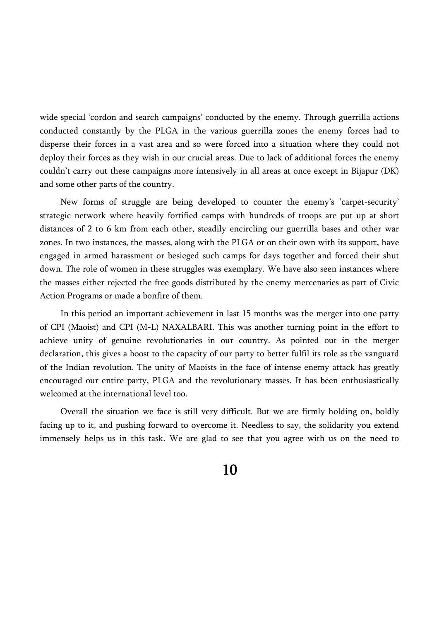wide special 'cordon and search campaigns' conducted by the enemy. Through guerrilla actions conducted constantly by the PLGA in the various guerrilla zones the enemy forces had to disperse their forces in a vast area and so were forced into a situation where they could not deploy their forces as they wish in our crucial areas. Due to lack of additional forces the enemy couldn't carry out these campaigns more intensively in all areas at once except in Bijapur (DK) and some other parts of the country.

New forms of struggle are being developed to counter the enemy's 'carpet-security' strategic network where heavily fortified camps with hundreds of troops are put up at short distances of 2 to 6 km from each other, steadily encircling our guerrilla bases and other war zones. In two instances, the masses, along with the PLGA or on their own with its support, have engaged in armed harassment or besieged such camps for days together and forced their shut down. The role of women in these struggles was exemplary. We have also seen instances where the masses either rejected the free goods distributed by the enemy mercenaries as part of Civic Action Programs or made a bonfire of them.

In this period an important achievement in last 15 months was the merger into one party of CPI (Maoist) and CPI (M-L) NAXALBARI. This was another turning point in the effort to achieve unity of genuine revolutionaries in our country. As pointed out in the merger declaration, this gives a boost to the capacity of our party to better fulfil its role as the vanguard of the Indian revolution. The unity of Maoists in the face of intense enemy attack has greatly encouraged our entire party, PLGA and the revolutionary masses. It has been enthusiastically welcomed at the international level too.

Overall the situation we face is still very difficult. But we are firmly holding on, boldly facing up to it, and pushing forward to overcome it. Needless to say, the solidarity you extend immensely helps us in this task. We are glad to see that you agree with us on the need to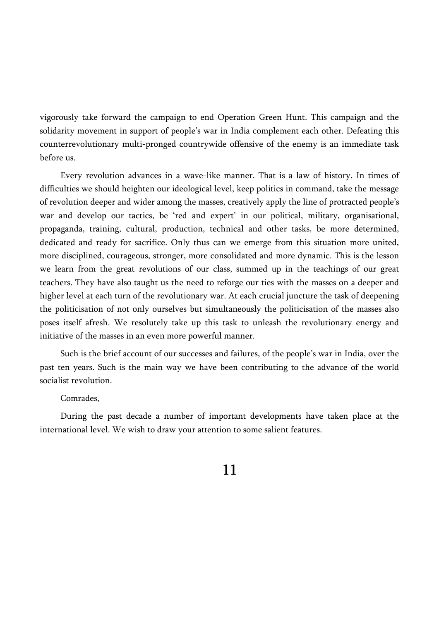vigorously take forward the campaign to end Operation Green Hunt. This campaign and the solidarity movement in support of people's war in India complement each other. Defeating this counterrevolutionary multi-pronged countrywide offensive of the enemy is an immediate task before us.

Every revolution advances in a wave-like manner. That is a law of history. In times of difficulties we should heighten our ideological level, keep politics in command, take the message of revolution deeper and wider among the masses, creatively apply the line of protracted people's war and develop our tactics, be 'red and expert' in our political, military, organisational, propaganda, training, cultural, production, technical and other tasks, be more determined, dedicated and ready for sacrifice. Only thus can we emerge from this situation more united, more disciplined, courageous, stronger, more consolidated and more dynamic. This is the lesson we learn from the great revolutions of our class, summed up in the teachings of our great teachers. They have also taught us the need to reforge our ties with the masses on a deeper and higher level at each turn of the revolutionary war. At each crucial juncture the task of deepening the politicisation of not only ourselves but simultaneously the politicisation of the masses also poses itself afresh. We resolutely take up this task to unleash the revolutionary energy and initiative of the masses in an even more powerful manner.

Such is the brief account of our successes and failures, of the people's war in India, over the past ten years. Such is the main way we have been contributing to the advance of the world socialist revolution.

#### Comrades,

During the past decade a number of important developments have taken place at the international level. We wish to draw your attention to some salient features.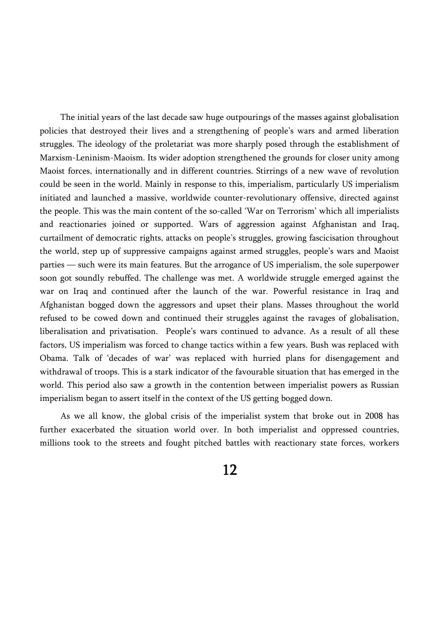The initial years of the last decade saw huge outpourings of the masses against globalisation policies that destroyed their lives and a strengthening of people's wars and armed liberation struggles. The ideology of the proletariat was more sharply posed through the establishment of Marxism-Leninism-Maoism. Its wider adoption strengthened the grounds for closer unity among Maoist forces, internationally and in different countries. Stirrings of a new wave of revolution could be seen in the world. Mainly in response to this, imperialism, particularly US imperialism initiated and launched a massive, worldwide counter-revolutionary offensive, directed against the people. This was the main content of the so-called 'War on Terrorism' which all imperialists and reactionaries joined or supported. Wars of aggression against Afghanistan and Iraq, curtailment of democratic rights, attacks on people's struggles, growing fascicisation throughout the world, step up of suppressive campaigns against armed struggles, people's wars and Maoist parties — such were its main features. But the arrogance of US imperialism, the sole superpower soon got soundly rebuffed. The challenge was met. A worldwide struggle emerged against the war on Iraq and continued after the launch of the war. Powerful resistance in Iraq and Afghanistan bogged down the aggressors and upset their plans. Masses throughout the world refused to be cowed down and continued their struggles against the ravages of globalisation, liberalisation and privatisation. People's wars continued to advance. As a result of all these factors, US imperialism was forced to change tactics within a few years. Bush was replaced with Obama. Talk of 'decades of war' was replaced with hurried plans for disengagement and withdrawal of troops. This is a stark indicator of the favourable situation that has emerged in the world. This period also saw a growth in the contention between imperialist powers as Russian imperialism began to assert itself in the context of the US getting bogged down.

As we all know, the global crisis of the imperialist system that broke out in 2008 has further exacerbated the situation world over. In both imperialist and oppressed countries, millions took to the streets and fought pitched battles with reactionary state forces, workers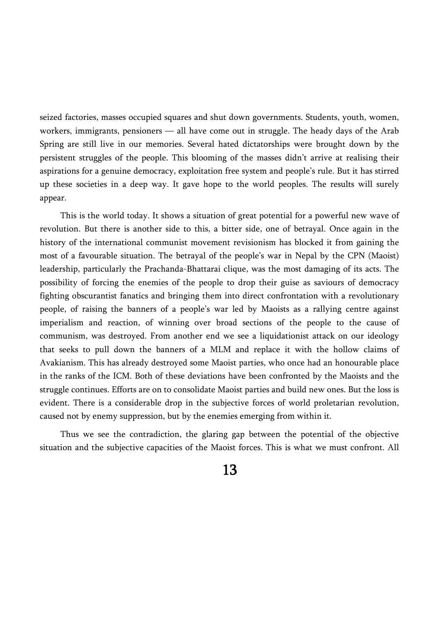seized factories, masses occupied squares and shut down governments. Students, youth, women, workers, immigrants, pensioners — all have come out in struggle. The heady days of the Arab Spring are still live in our memories. Several hated dictatorships were brought down by the persistent struggles of the people. This blooming of the masses didn't arrive at realising their aspirations for a genuine democracy, exploitation free system and people's rule. But it has stirred up these societies in a deep way. It gave hope to the world peoples. The results will surely appear.

This is the world today. It shows a situation of great potential for a powerful new wave of revolution. But there is another side to this, a bitter side, one of betrayal. Once again in the history of the international communist movement revisionism has blocked it from gaining the most of a favourable situation. The betrayal of the people's war in Nepal by the CPN (Maoist) leadership, particularly the Prachanda-Bhattarai clique, was the most damaging of its acts. The possibility of forcing the enemies of the people to drop their guise as saviours of democracy fighting obscurantist fanatics and bringing them into direct confrontation with a revolutionary people, of raising the banners of a people's war led by Maoists as a rallying centre against imperialism and reaction, of winning over broad sections of the people to the cause of communism, was destroyed. From another end we see a liquidationist attack on our ideology that seeks to pull down the banners of a MLM and replace it with the hollow claims of Avakianism. This has already destroyed some Maoist parties, who once had an honourable place in the ranks of the ICM. Both of these deviations have been confronted by the Maoists and the struggle continues. Efforts are on to consolidate Maoist parties and build new ones. But the loss is evident. There is a considerable drop in the subjective forces of world proletarian revolution, caused not by enemy suppression, but by the enemies emerging from within it.

Thus we see the contradiction, the glaring gap between the potential of the objective situation and the subjective capacities of the Maoist forces. This is what we must confront. All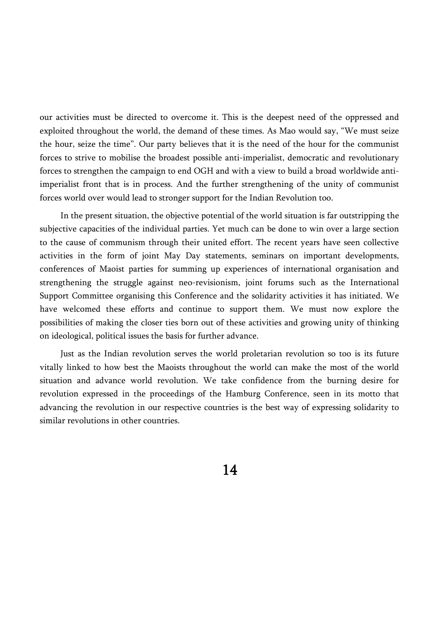our activities must be directed to overcome it. This is the deepest need of the oppressed and exploited throughout the world, the demand of these times. As Mao would say, "We must seize the hour, seize the time". Our party believes that it is the need of the hour for the communist forces to strive to mobilise the broadest possible anti-imperialist, democratic and revolutionary forces to strengthen the campaign to end OGH and with a view to build a broad worldwide antiimperialist front that is in process. And the further strengthening of the unity of communist forces world over would lead to stronger support for the Indian Revolution too.

In the present situation, the objective potential of the world situation is far outstripping the subjective capacities of the individual parties. Yet much can be done to win over a large section to the cause of communism through their united effort. The recent years have seen collective activities in the form of joint May Day statements, seminars on important developments, conferences of Maoist parties for summing up experiences of international organisation and strengthening the struggle against neo-revisionism, joint forums such as the International Support Committee organising this Conference and the solidarity activities it has initiated. We have welcomed these efforts and continue to support them. We must now explore the possibilities of making the closer ties born out of these activities and growing unity of thinking on ideological, political issues the basis for further advance.

Just as the Indian revolution serves the world proletarian revolution so too is its future vitally linked to how best the Maoists throughout the world can make the most of the world situation and advance world revolution. We take confidence from the burning desire for revolution expressed in the proceedings of the Hamburg Conference, seen in its motto that advancing the revolution in our respective countries is the best way of expressing solidarity to similar revolutions in other countries.